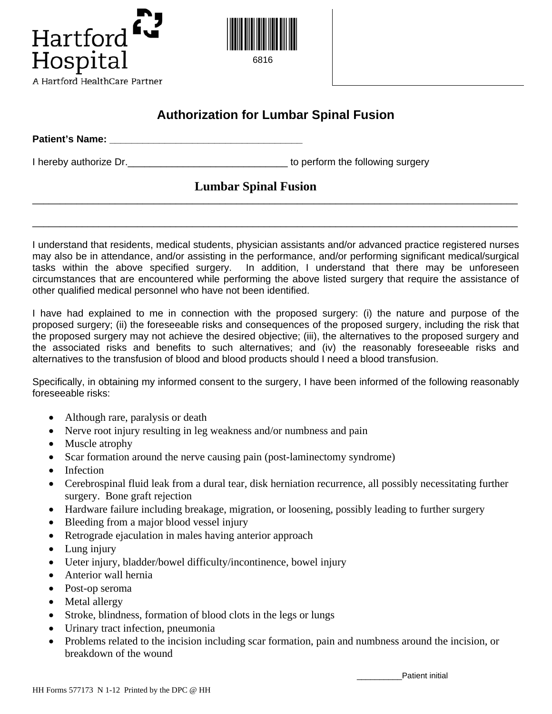



## **Authorization for Lumbar Spinal Fusion**

**Patient's Name: With the State of Table 10. The State of Table 10. The State of Table 10. The State of Table 10. The State of Table 10. The State of Table 10. The State of Table 10. The State of Table 10. The State of T** 

I hereby authorize Dr. \_\_\_\_\_\_\_\_\_\_\_\_\_\_\_\_\_\_\_\_\_\_\_\_\_\_\_\_\_\_\_\_\_\_ to perform the following surgery

## **Lumbar Spinal Fusion**

I understand that residents, medical students, physician assistants and/or advanced practice registered nurses may also be in attendance, and/or assisting in the performance, and/or performing significant medical/surgical tasks within the above specified surgery. In addition, I understand that there may be unforeseen circumstances that are encountered while performing the above listed surgery that require the assistance of other qualified medical personnel who have not been identified.

\_\_\_\_\_\_\_\_\_\_\_\_\_\_\_\_\_\_\_\_\_\_\_\_\_\_\_\_\_\_\_\_\_\_\_\_\_\_\_\_\_\_\_\_\_\_\_\_\_\_\_\_\_\_\_\_\_\_\_\_\_\_\_\_\_\_\_\_\_\_\_\_\_\_\_\_\_\_\_\_\_\_\_\_\_\_\_\_

\_\_\_\_\_\_\_\_\_\_\_\_\_\_\_\_\_\_\_\_\_\_\_\_\_\_\_\_\_\_\_\_\_\_\_\_\_\_\_\_\_\_\_\_\_\_\_\_\_\_\_\_\_\_\_\_\_\_\_\_\_\_\_\_\_\_\_\_\_\_\_\_\_\_\_\_\_\_\_\_\_\_\_\_\_\_\_\_

I have had explained to me in connection with the proposed surgery: (i) the nature and purpose of the proposed surgery; (ii) the foreseeable risks and consequences of the proposed surgery, including the risk that the proposed surgery may not achieve the desired objective; (iii), the alternatives to the proposed surgery and the associated risks and benefits to such alternatives; and (iv) the reasonably foreseeable risks and alternatives to the transfusion of blood and blood products should I need a blood transfusion.

Specifically, in obtaining my informed consent to the surgery, I have been informed of the following reasonably foreseeable risks:

- Although rare, paralysis or death
- Nerve root injury resulting in leg weakness and/or numbness and pain
- Muscle atrophy
- Scar formation around the nerve causing pain (post-laminectomy syndrome)
- Infection
- Cerebrospinal fluid leak from a dural tear, disk herniation recurrence, all possibly necessitating further surgery. Bone graft rejection
- Hardware failure including breakage, migration, or loosening, possibly leading to further surgery
- Bleeding from a major blood vessel injury
- Retrograde ejaculation in males having anterior approach
- Lung injury
- Ueter injury, bladder/bowel difficulty/incontinence, bowel injury
- Anterior wall hernia
- Post-op seroma
- Metal allergy
- Stroke, blindness, formation of blood clots in the legs or lungs
- Urinary tract infection, pneumonia
- Problems related to the incision including scar formation, pain and numbness around the incision, or breakdown of the wound